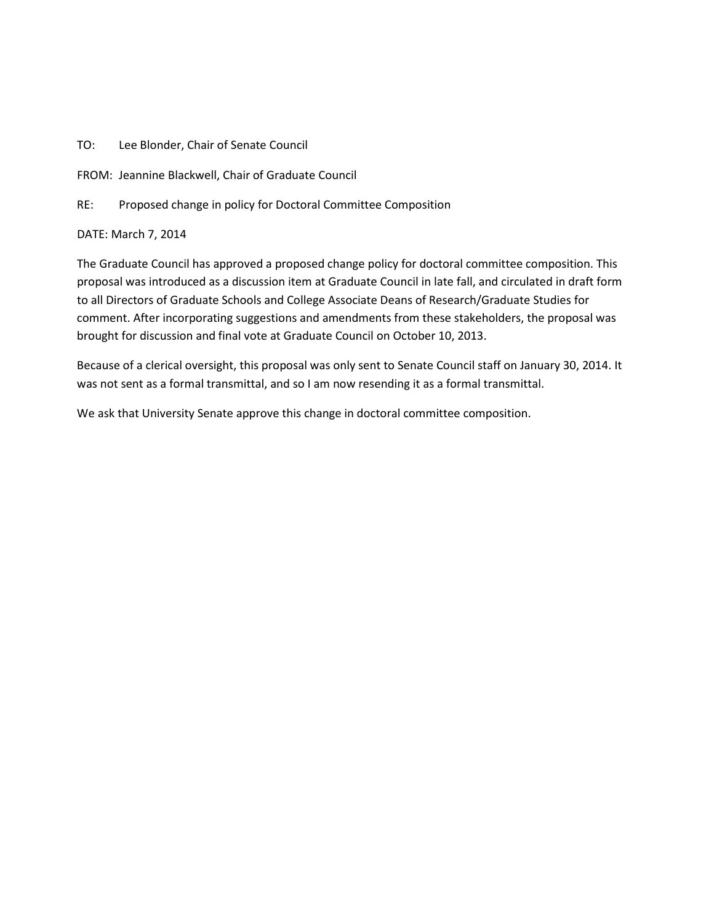## TO: Lee Blonder, Chair of Senate Council

FROM: Jeannine Blackwell, Chair of Graduate Council

RE: Proposed change in policy for Doctoral Committee Composition

DATE: March 7, 2014

The Graduate Council has approved a proposed change policy for doctoral committee composition. This proposal was introduced as a discussion item at Graduate Council in late fall, and circulated in draft form to all Directors of Graduate Schools and College Associate Deans of Research/Graduate Studies for comment. After incorporating suggestions and amendments from these stakeholders, the proposal was brought for discussion and final vote at Graduate Council on October 10, 2013.

Because of a clerical oversight, this proposal was only sent to Senate Council staff on January 30, 2014. It was not sent as a formal transmittal, and so I am now resending it as a formal transmittal.

We ask that University Senate approve this change in doctoral committee composition.